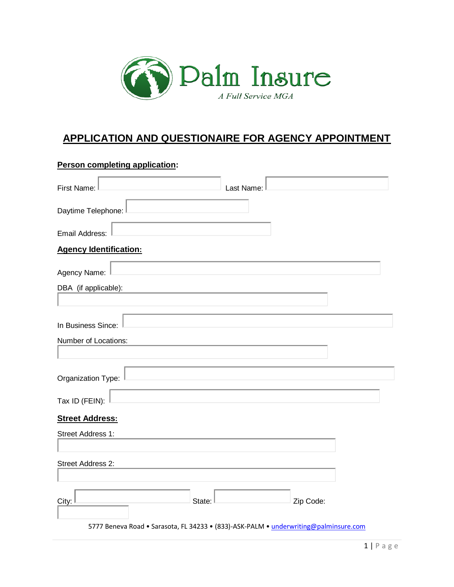

## **APPLICATION AND QUESTIONAIRE FOR AGENCY APPOINTMENT**

| Person completing application:                                                       |            |
|--------------------------------------------------------------------------------------|------------|
| First Name:                                                                          | Last Name: |
| Daytime Telephone:                                                                   |            |
| Email Address:                                                                       |            |
| <b>Agency Identification:</b>                                                        |            |
| Agency Name:                                                                         |            |
| DBA (if applicable):                                                                 |            |
|                                                                                      |            |
| In Business Since:                                                                   |            |
| Number of Locations:                                                                 |            |
|                                                                                      |            |
| Organization Type:                                                                   |            |
| Tax ID (FEIN):                                                                       |            |
| <b>Street Address:</b>                                                               |            |
| Street Address 1:                                                                    |            |
| Street Address 2:                                                                    |            |
| City:<br>State:                                                                      | Zip Code:  |
| 5777 Beneva Road . Sarasota, FL 34233 . (833)-ASK-PALM . underwriting@palminsure.com |            |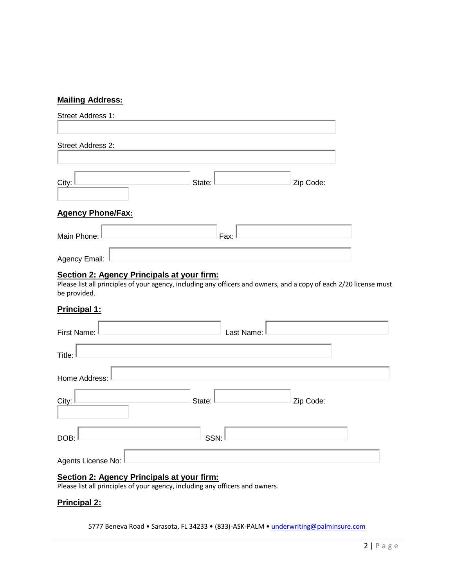#### **Mailing Address:**

| Street Address 1:        |        |           |
|--------------------------|--------|-----------|
| Street Address 2:        |        |           |
| City:                    | State: | Zip Code: |
| <b>Agency Phone/Fax:</b> |        |           |
| Main Phone: L            | Fax:   |           |
| Agency Email:            |        |           |
|                          |        |           |

#### **Section 2: Agency Principals at your firm:**

Please list all principles of your agency, including any officers and owners, and a copy of each 2/20 license must be provided.

#### **Principal 1:**

| First Name:          | Last Name: |           |  |
|----------------------|------------|-----------|--|
| Title:               |            |           |  |
| Home Address:        |            |           |  |
| City:                | State:     | Zip Code: |  |
| DOB:                 | SSN:       |           |  |
| Agents License No: I |            |           |  |
|                      |            |           |  |

#### **Section 2: Agency Principals at your firm:**

Please list all principles of your agency, including any officers and owners.

#### **Principal 2:**

5777 Beneva Road • Sarasota, FL 34233 • (833)-ASK-PALM • [underwriting@palminsure.com](mailto:underwriting@palminsure.com)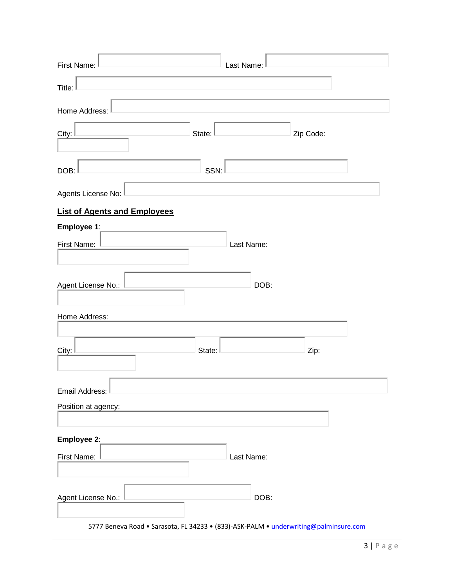| First Name:                         |        | Last Name: |           |  |
|-------------------------------------|--------|------------|-----------|--|
| Title:                              |        |            |           |  |
| Home Address:                       |        |            |           |  |
| City:                               | State: |            | Zip Code: |  |
| DOB:                                | SSN:   |            |           |  |
| Agents License No:                  |        |            |           |  |
| <b>List of Agents and Employees</b> |        |            |           |  |
| Employee 1:                         |        |            |           |  |
| First Name:                         |        | Last Name: |           |  |
|                                     |        |            |           |  |
| Agent License No.:                  |        | DOB:       |           |  |
|                                     |        |            |           |  |
| Home Address:                       |        |            |           |  |
|                                     |        |            |           |  |
| City:                               | State: |            | Zip:      |  |
|                                     |        |            |           |  |
| Email Address:                      |        |            |           |  |
| Position at agency:                 |        |            |           |  |
|                                     |        |            |           |  |
| Employee 2:                         |        |            |           |  |
| First Name:                         |        | Last Name: |           |  |
|                                     |        |            |           |  |
| Agent License No.:                  |        | DOB:       |           |  |

5777 Beneva Road • Sarasota, FL 34233 • (833)-ASK-PALM • [underwriting@palminsure.com](mailto:underwriting@palminsure.com)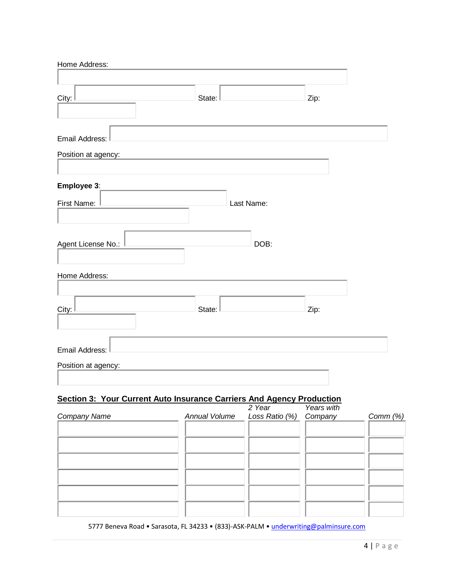| Home Address:       |        |            |      |
|---------------------|--------|------------|------|
|                     |        |            |      |
| City:               | State: |            | Zip: |
|                     |        |            |      |
| Email Address:      |        |            |      |
| Position at agency: |        |            |      |
|                     |        |            |      |
| Employee 3:         |        |            |      |
| First Name:         |        | Last Name: |      |
|                     |        |            |      |
|                     |        |            |      |
| Agent License No.:  |        | DOB:       |      |
|                     |        |            |      |
| Home Address:       |        |            |      |
|                     |        |            |      |
| City:               | State: |            | Zip: |
|                     |        |            |      |
|                     |        |            |      |
| Email Address:      |        |            |      |
| Position at agency: |        |            |      |
|                     |        |            |      |
|                     |        |            |      |

### **Section 3: Your Current Auto Insurance Carriers And Agency Production**

|                     | 2 Year                               | Years with |          |
|---------------------|--------------------------------------|------------|----------|
| <b>Company Name</b> | Annual Volume Loss Ratio (%) Company |            | Comm (%) |
|                     |                                      |            |          |
|                     |                                      |            |          |
|                     |                                      |            |          |
|                     |                                      |            |          |
|                     |                                      |            |          |
|                     |                                      |            |          |
|                     |                                      |            |          |
|                     |                                      |            |          |
|                     |                                      |            |          |
|                     |                                      |            |          |
|                     |                                      |            |          |

5777 Beneva Road • Sarasota, FL 34233 • (833)-ASK-PALM • [underwriting@palminsure.com](mailto:underwriting@palminsure.com)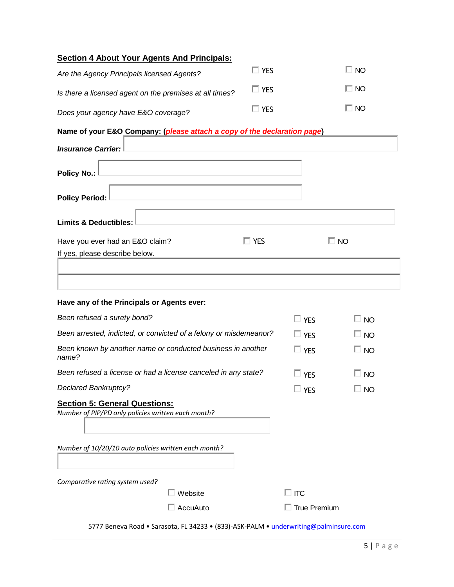| <b>Section 4 About Your Agents And Principals:</b>                                         |            |                     |              |
|--------------------------------------------------------------------------------------------|------------|---------------------|--------------|
| Are the Agency Principals licensed Agents?                                                 | $\Box$ YES |                     | $\Box$ No    |
| Is there a licensed agent on the premises at all times?                                    | $\Box$ YES |                     | $\Box$ No    |
| Does your agency have E&O coverage?                                                        | $\Box$ Yes |                     | $\Box$ No    |
| Name of your E&O Company: (please attach a copy of the declaration page)                   |            |                     |              |
| <b>Insurance Carrier:</b>                                                                  |            |                     |              |
| <b>Policy No.:</b>                                                                         |            |                     |              |
| <b>Policy Period:</b>                                                                      |            |                     |              |
| <b>Limits &amp; Deductibles:</b>                                                           |            |                     |              |
| Have you ever had an E&O claim?<br>If yes, please describe below.                          | $\Box$ YES |                     | $\Box$ No    |
| Have any of the Principals or Agents ever:<br>Been refused a surety bond?                  |            | $\Box$ YES          | $\square$ NO |
| Been arrested, indicted, or convicted of a felony or misdemeanor?                          |            | $\Box$ YES          | $\Box$ NO    |
| Been known by another name or conducted business in another<br>name?                       |            | $\Box$ YES          | $\Box$ No    |
| Been refused a license or had a license canceled in any state?                             |            | $\Box$ YES          | □ NO         |
| <b>Declared Bankruptcy?</b>                                                                |            | $\Box$ Yes          | $\Box$ No    |
| <b>Section 5: General Questions:</b><br>Number of PIP/PD only policies written each month? |            |                     |              |
| Number of 10/20/10 auto policies written each month?                                       |            |                     |              |
| Comparative rating system used?<br>$\Box$ Website                                          |            | $\Box$ ітс          |              |
| $\Box$ AccuAuto                                                                            |            | $\Box$ True Premium |              |
| 5777 Beneva Road • Sarasota, FL 34233 • (833)-ASK-PALM • underwriting@palminsure.com       |            |                     |              |